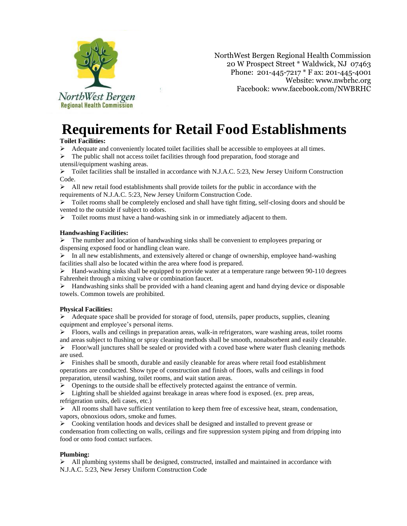

NorthWest Bergen Regional Health Commission 20 W Prospect Street \* Waldwick, NJ 07463 Phone: 201-445-7217 \* F ax: 201-445-4001 Website: [www.nwbrhc.org](http://www.nwbrhc.org/) Facebook[: www.facebook.com/NWBRHC](http://www.facebook.com/NWBRHC)

# **Requirements for Retail Food Establishments**

## **Toilet Facilities:**

➢ Adequate and conveniently located toilet facilities shall be accessible to employees at all times.

➢ The public shall not access toilet facilities through food preparation, food storage and utensil/equipment washing areas.

➢ Toilet facilities shall be installed in accordance with N.J.A.C. 5:23, New Jersey Uniform Construction Code.

 $\triangleright$  All new retail food establishments shall provide toilets for the public in accordance with the requirements of N.J.A.C. 5:23, New Jersey Uniform Construction Code.

 $\triangleright$  Toilet rooms shall be completely enclosed and shall have tight fitting, self-closing doors and should be vented to the outside if subject to odors.

 $\triangleright$  Toilet rooms must have a hand-washing sink in or immediately adjacent to them.

## **Handwashing Facilities:**

 $\triangleright$  The number and location of handwashing sinks shall be convenient to employees preparing or dispensing exposed food or handling clean ware.

 $\triangleright$  In all new establishments, and extensively altered or change of ownership, employee hand-washing facilities shall also be located within the area where food is prepared.

 $\blacktriangleright$  Hand-washing sinks shall be equipped to provide water at a temperature range between 90-110 degrees Fahrenheit through a mixing valve or combination faucet.

 $\triangleright$  Handwashing sinks shall be provided with a hand cleaning agent and hand drying device or disposable towels. Common towels are prohibited.

## **Physical Facilities:**

➢ Adequate space shall be provided for storage of food, utensils, paper products, supplies, cleaning equipment and employee's personal items.

➢ Floors, walls and ceilings in preparation areas, walk-in refrigerators, ware washing areas, toilet rooms

and areas subject to flushing or spray cleaning methods shall be smooth, nonabsorbent and easily cleanable.  $\triangleright$  Floor/wall junctures shall be sealed or provided with a coved base where water flush cleaning methods are used.

 $\triangleright$  Finishes shall be smooth, durable and easily cleanable for areas where retail food establishment operations are conducted. Show type of construction and finish of floors, walls and ceilings in food preparation, utensil washing, toilet rooms, and wait station areas.

➢ Openings to the outside shall be effectively protected against the entrance of vermin.

 $\triangleright$  Lighting shall be shielded against breakage in areas where food is exposed. (ex. prep areas, refrigeration units, deli cases, etc.)

 $\triangleright$  All rooms shall have sufficient ventilation to keep them free of excessive heat, steam, condensation, vapors, obnoxious odors, smoke and fumes.

 $\triangleright$  Cooking ventilation hoods and devices shall be designed and installed to prevent grease or condensation from collecting on walls, ceilings and fire suppression system piping and from dripping into food or onto food contact surfaces.

## **Plumbing:**

 $\triangleright$  All plumbing systems shall be designed, constructed, installed and maintained in accordance with N.J.A.C. 5:23, New Jersey Uniform Construction Code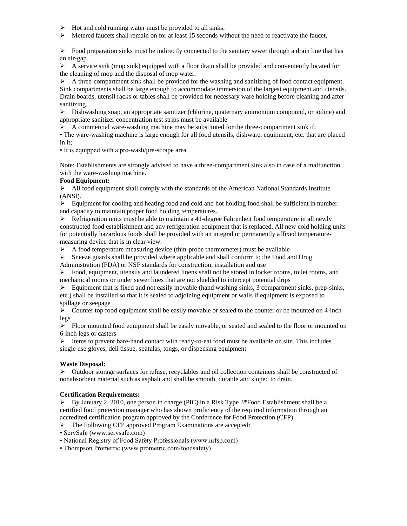- $\triangleright$  Hot and cold running water must be provided to all sinks.
- $\triangleright$  Metered faucets shall remain on for at least 15 seconds without the need to reactivate the faucet.

 $\triangleright$  Food preparation sinks must be indirectly connected to the sanitary sewer through a drain line that has an air-gap.

 $\triangleright$  A service sink (mop sink) equipped with a floor drain shall be provided and conveniently located for the cleaning of mop and the disposal of mop water.

 $\triangleright$  A three-compartment sink shall be provided for the washing and sanitizing of food contact equipment. Sink compartments shall be large enough to accommodate immersion of the largest equipment and utensils. Drain boards, utensil racks or tables shall be provided for necessary ware holding before cleaning and after sanitizing.

➢ Dishwashing soap, an appropriate sanitizer (chlorine, quaternary ammonium compound, or iodine) and appropriate sanitizer concentration test strips must be available

 $\triangleright$  A commercial ware-washing machine may be substituted for the three-compartment sink if:

• The ware-washing machine is large enough for all food utensils, dishware, equipment, etc. that are placed in it;

• It is equipped with a pre-wash/pre-scrape area

Note: Establishments are strongly advised to have a three-compartment sink also in case of a malfunction with the ware-washing machine.

## **Food Equipment:**

 $\triangleright$  All food equipment shall comply with the standards of the American National Standards Institute (ANSI).

 $\triangleright$  Equipment for cooling and heating food and cold and hot holding food shall be sufficient in number and capacity to maintain proper food holding temperatures.

 $\triangleright$  Refrigeration units must be able to maintain a 41-degree Fahrenheit food temperature in all newly constructed food establishment and any refrigeration equipment that is replaced. All new cold holding units for potentially hazardous foods shall be provided with an integral or permanently affixed temperaturemeasuring device that is in clear view.

 $\triangleright$  A food temperature measuring device (thin-probe thermometer) must be available

 $\triangleright$  Sneeze guards shall be provided where applicable and shall conform to the Food and Drug

Administration (FDA) or NSF standards for construction, installation and use

 $\triangleright$  Food, equipment, utensils and laundered linens shall not be stored in locker rooms, toilet rooms, and mechanical rooms or under sewer lines that are not shielded to intercept potential drips

 $\triangleright$  Equipment that is fixed and not easily movable (hand washing sinks, 3 compartment sinks, prep-sinks, etc.) shall be installed so that it is sealed to adjoining equipment or walls if equipment is exposed to spillage or seepage

 $\triangleright$  Counter top food equipment shall be easily movable or sealed to the counter or be mounted on 4-inch legs

➢ Floor mounted food equipment shall be easily movable, or seated and sealed to the floor or mounted on 6-inch legs or casters

 $\triangleright$  Items to prevent bare-hand contact with ready-to-eat food must be available on site. This includes single use gloves, deli tissue, spatulas, tongs, or dispensing equipment

#### **Waste Disposal:**

➢ Outdoor storage surfaces for refuse, recyclables and oil collection containers shall be constructed of nonabsorbent material such as asphalt and shall be smooth, durable and sloped to drain.

#### **Certification Requirements:**

 $\triangleright$  By January 2, 2010, one person in charge (PIC) in a Risk Type 3\*Food Establishment shall be a certified food protection manager who has shown proficiency of the required information through an accredited certification program approved by the Conference for Food Protection (CFP).

➢ The Following CFP approved Program Examinations are accepted:

• ServSafe (www.servsafe.com)

- National Registry of Food Safety Professionals (www.nrfsp.com)
- Thompson Prometric (www.prometric.com/foodsafety)